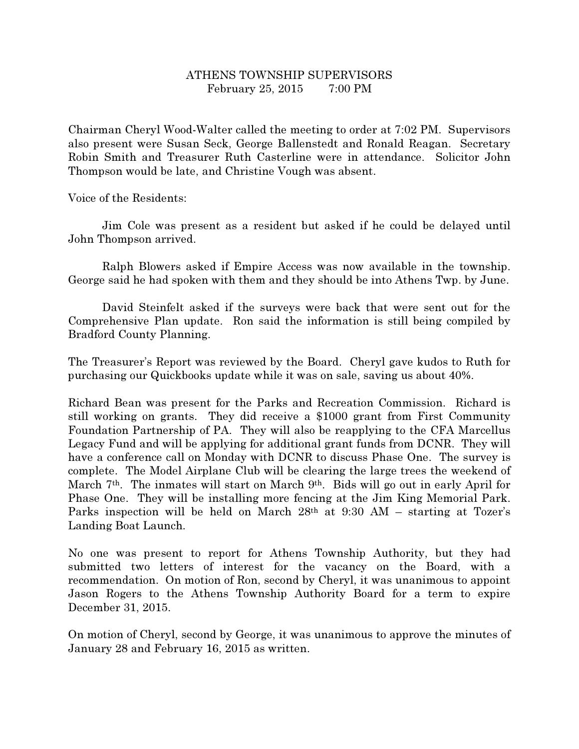## ATHENS TOWNSHIP SUPERVISORS February 25, 2015 7:00 PM

Chairman Cheryl Wood-Walter called the meeting to order at 7:02 PM. Supervisors also present were Susan Seck, George Ballenstedt and Ronald Reagan. Secretary Robin Smith and Treasurer Ruth Casterline were in attendance. Solicitor John Thompson would be late, and Christine Vough was absent.

Voice of the Residents:

 Jim Cole was present as a resident but asked if he could be delayed until John Thompson arrived.

 Ralph Blowers asked if Empire Access was now available in the township. George said he had spoken with them and they should be into Athens Twp. by June.

 David Steinfelt asked if the surveys were back that were sent out for the Comprehensive Plan update. Ron said the information is still being compiled by Bradford County Planning.

The Treasurer's Report was reviewed by the Board. Cheryl gave kudos to Ruth for purchasing our Quickbooks update while it was on sale, saving us about 40%.

Richard Bean was present for the Parks and Recreation Commission. Richard is still working on grants. They did receive a \$1000 grant from First Community Foundation Partnership of PA. They will also be reapplying to the CFA Marcellus Legacy Fund and will be applying for additional grant funds from DCNR. They will have a conference call on Monday with DCNR to discuss Phase One. The survey is complete. The Model Airplane Club will be clearing the large trees the weekend of March 7<sup>th</sup>. The inmates will start on March 9<sup>th</sup>. Bids will go out in early April for Phase One. They will be installing more fencing at the Jim King Memorial Park. Parks inspection will be held on March 28th at 9:30 AM – starting at Tozer's Landing Boat Launch.

No one was present to report for Athens Township Authority, but they had submitted two letters of interest for the vacancy on the Board, with a recommendation. On motion of Ron, second by Cheryl, it was unanimous to appoint Jason Rogers to the Athens Township Authority Board for a term to expire December 31, 2015.

On motion of Cheryl, second by George, it was unanimous to approve the minutes of January 28 and February 16, 2015 as written.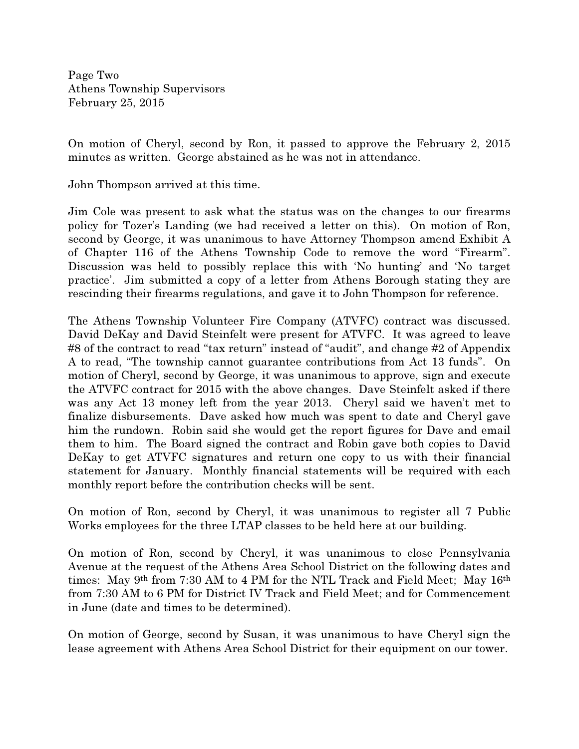Page Two Athens Township Supervisors February 25, 2015

On motion of Cheryl, second by Ron, it passed to approve the February 2, 2015 minutes as written. George abstained as he was not in attendance.

John Thompson arrived at this time.

Jim Cole was present to ask what the status was on the changes to our firearms policy for Tozer's Landing (we had received a letter on this). On motion of Ron, second by George, it was unanimous to have Attorney Thompson amend Exhibit A of Chapter 116 of the Athens Township Code to remove the word "Firearm". Discussion was held to possibly replace this with 'No hunting' and 'No target practice'. Jim submitted a copy of a letter from Athens Borough stating they are rescinding their firearms regulations, and gave it to John Thompson for reference.

The Athens Township Volunteer Fire Company (ATVFC) contract was discussed. David DeKay and David Steinfelt were present for ATVFC. It was agreed to leave #8 of the contract to read "tax return" instead of "audit", and change #2 of Appendix A to read, "The township cannot guarantee contributions from Act 13 funds". On motion of Cheryl, second by George, it was unanimous to approve, sign and execute the ATVFC contract for 2015 with the above changes. Dave Steinfelt asked if there was any Act 13 money left from the year 2013. Cheryl said we haven't met to finalize disbursements. Dave asked how much was spent to date and Cheryl gave him the rundown. Robin said she would get the report figures for Dave and email them to him. The Board signed the contract and Robin gave both copies to David DeKay to get ATVFC signatures and return one copy to us with their financial statement for January. Monthly financial statements will be required with each monthly report before the contribution checks will be sent.

On motion of Ron, second by Cheryl, it was unanimous to register all 7 Public Works employees for the three LTAP classes to be held here at our building.

On motion of Ron, second by Cheryl, it was unanimous to close Pennsylvania Avenue at the request of the Athens Area School District on the following dates and times: May 9th from 7:30 AM to 4 PM for the NTL Track and Field Meet; May 16th from 7:30 AM to 6 PM for District IV Track and Field Meet; and for Commencement in June (date and times to be determined).

On motion of George, second by Susan, it was unanimous to have Cheryl sign the lease agreement with Athens Area School District for their equipment on our tower.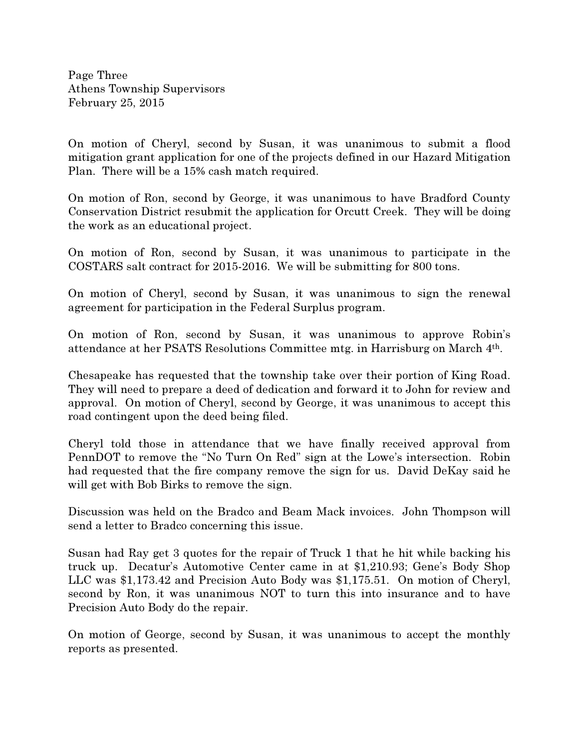Page Three Athens Township Supervisors February 25, 2015

On motion of Cheryl, second by Susan, it was unanimous to submit a flood mitigation grant application for one of the projects defined in our Hazard Mitigation Plan. There will be a 15% cash match required.

On motion of Ron, second by George, it was unanimous to have Bradford County Conservation District resubmit the application for Orcutt Creek. They will be doing the work as an educational project.

On motion of Ron, second by Susan, it was unanimous to participate in the COSTARS salt contract for 2015-2016. We will be submitting for 800 tons.

On motion of Cheryl, second by Susan, it was unanimous to sign the renewal agreement for participation in the Federal Surplus program.

On motion of Ron, second by Susan, it was unanimous to approve Robin's attendance at her PSATS Resolutions Committee mtg. in Harrisburg on March 4th.

Chesapeake has requested that the township take over their portion of King Road. They will need to prepare a deed of dedication and forward it to John for review and approval. On motion of Cheryl, second by George, it was unanimous to accept this road contingent upon the deed being filed.

Cheryl told those in attendance that we have finally received approval from PennDOT to remove the "No Turn On Red" sign at the Lowe's intersection. Robin had requested that the fire company remove the sign for us. David DeKay said he will get with Bob Birks to remove the sign.

Discussion was held on the Bradco and Beam Mack invoices. John Thompson will send a letter to Bradco concerning this issue.

Susan had Ray get 3 quotes for the repair of Truck 1 that he hit while backing his truck up. Decatur's Automotive Center came in at \$1,210.93; Gene's Body Shop LLC was \$1,173.42 and Precision Auto Body was \$1,175.51. On motion of Cheryl, second by Ron, it was unanimous NOT to turn this into insurance and to have Precision Auto Body do the repair.

On motion of George, second by Susan, it was unanimous to accept the monthly reports as presented.